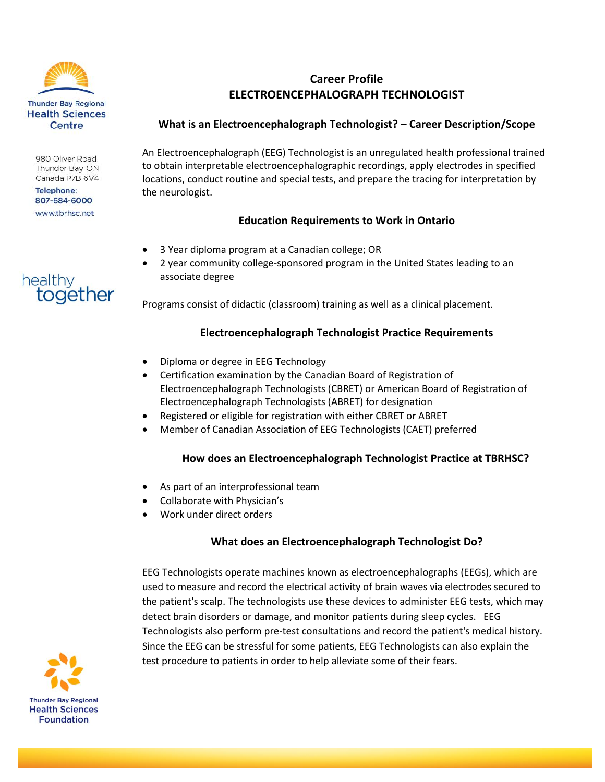

980 Oliver Road Thunder Bay, ON Canada P7B 6V4

**Telephone:** 807-684-6000 www.tbrhsc.net

together

healthy

# **Career Profile ELECTROENCEPHALOGRAPH TECHNOLOGIST**

#### **What is an Electroencephalograph Technologist? – Career Description/Scope**

An Electroencephalograph (EEG) Technologist is an unregulated health professional trained to obtain interpretable electroencephalographic recordings, apply electrodes in specified locations, conduct routine and special tests, and prepare the tracing for interpretation by the neurologist.

## **Education Requirements to Work in Ontario**

- 3 Year diploma program at a Canadian college; OR
- 2 year community college-sponsored program in the United States leading to an associate degree

Programs consist of didactic (classroom) training as well as a clinical placement.

## **Electroencephalograph Technologist Practice Requirements**

- Diploma or degree in EEG Technology
- Certification examination by the Canadian Board of Registration of Electroencephalograph Technologists (CBRET) or American Board of Registration of Electroencephalograph Technologists (ABRET) for designation
- Registered or eligible for registration with either CBRET or ABRET
- Member of Canadian Association of EEG Technologists (CAET) preferred

#### **How does an Electroencephalograph Technologist Practice at TBRHSC?**

- As part of an interprofessional team
- Collaborate with Physician's
- Work under direct orders

#### **What does an Electroencephalograph Technologist Do?**

EEG Technologists operate machines known as electroencephalographs (EEGs), which are used to measure and record the electrical activity of brain waves via electrodes secured to the patient's scalp. The technologists use these devices to administer EEG tests, which may detect brain disorders or damage, and monitor patients during sleep cycles. EEG Technologists also perform pre-test consultations and record the patient's medical history. Since the EEG can be stressful for some patients, EEG Technologists can also explain the test procedure to patients in order to help alleviate some of their fears.